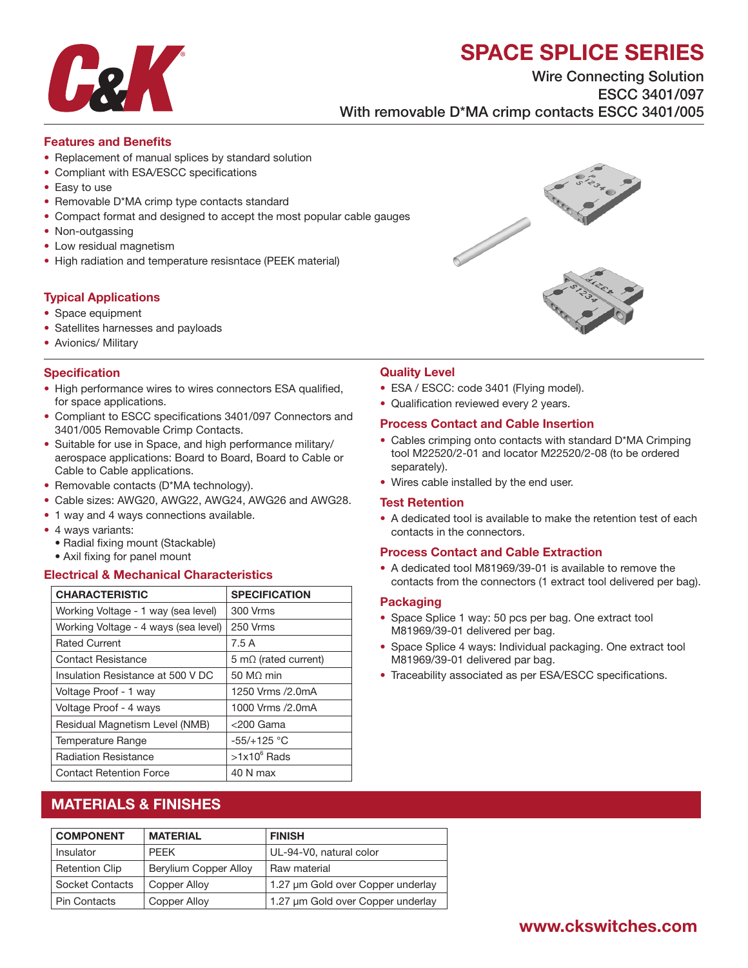# SPACE SPLICE SERIES



Wire Connecting Solution ESCC 3401/097 With removable D\*MA crimp contacts ESCC 3401/005

#### Features and Benefits

- Replacement of manual splices by standard solution
- Compliant with ESA/ESCC specifications
- Easy to use
- Removable D\*MA crimp type contacts standard
- Compact format and designed to accept the most popular cable gauges
- Non-outgassing
- Low residual magnetism
- High radiation and temperature resisntace (PEEK material)

#### Typical Applications

- Space equipment
- Satellites harnesses and payloads
- Avionics/ Military

#### **Specification**

- High performance wires to wires connectors ESA qualified, for space applications.
- Compliant to ESCC specifications 3401/097 Connectors and 3401/005 Removable Crimp Contacts.
- Suitable for use in Space, and high performance military/ aerospace applications: Board to Board, Board to Cable or Cable to Cable applications.
- Removable contacts (D\*MA technology).
- Cable sizes: AWG20, AWG22, AWG24, AWG26 and AWG28.
- 1 way and 4 ways connections available.
- 4 ways variants:
	- Radial fixing mount (Stackable)
	- Axil fixing for panel mount

#### Electrical & Mechanical Characteristics

| <b>CHARACTERISTIC</b>                | <b>SPECIFICATION</b>         |  |
|--------------------------------------|------------------------------|--|
| Working Voltage - 1 way (sea level)  | 300 Vrms                     |  |
| Working Voltage - 4 ways (sea level) | 250 Vrms                     |  |
| <b>Rated Current</b>                 | 7.5 A                        |  |
| Contact Resistance                   | 5 m $\Omega$ (rated current) |  |
| Insulation Resistance at 500 V DC    | $50 \text{ M}\Omega$ min     |  |
| Voltage Proof - 1 way                | 1250 Vrms / 2.0 m A          |  |
| Voltage Proof - 4 ways               | 1000 Vrms /2.0mA             |  |
| Residual Magnetism Level (NMB)       | $<$ 200 Gama                 |  |
| Temperature Range                    | $-55/+125$ °C                |  |
| <b>Radiation Resistance</b>          | $>1x10^6$ Rads               |  |
| <b>Contact Retention Force</b>       | 40 N max                     |  |

### MATERIALS & FINISHES

| <b>COMPONENT</b>      | <b>MATERIAL</b>       | <b>FINISH</b>                     |  |
|-----------------------|-----------------------|-----------------------------------|--|
| Insulator             | <b>PFFK</b>           | UL-94-V0, natural color           |  |
| <b>Retention Clip</b> | Berylium Copper Alloy | Raw material                      |  |
| Socket Contacts       | Copper Alloy          | 1.27 um Gold over Copper underlay |  |
| <b>Pin Contacts</b>   | Copper Alloy          | 1.27 um Gold over Copper underlay |  |



#### Quality Level

- ESA / ESCC: code 3401 (Flying model).
- Qualification reviewed every 2 years.

#### Process Contact and Cable Insertion

- Cables crimping onto contacts with standard D\*MA Crimping tool M22520/2-01 and locator M22520/2-08 (to be ordered separately).
- Wires cable installed by the end user.

#### Test Retention

• A dedicated tool is available to make the retention test of each contacts in the connectors.

#### Process Contact and Cable Extraction

• A dedicated tool M81969/39-01 is available to remove the contacts from the connectors (1 extract tool delivered per bag).

#### **Packaging**

- Space Splice 1 way: 50 pcs per bag. One extract tool M81969/39-01 delivered per bag.
- Space Splice 4 ways: Individual packaging. One extract tool M81969/39-01 delivered par bag.
- Traceability associated as per ESA/ESCC specifications.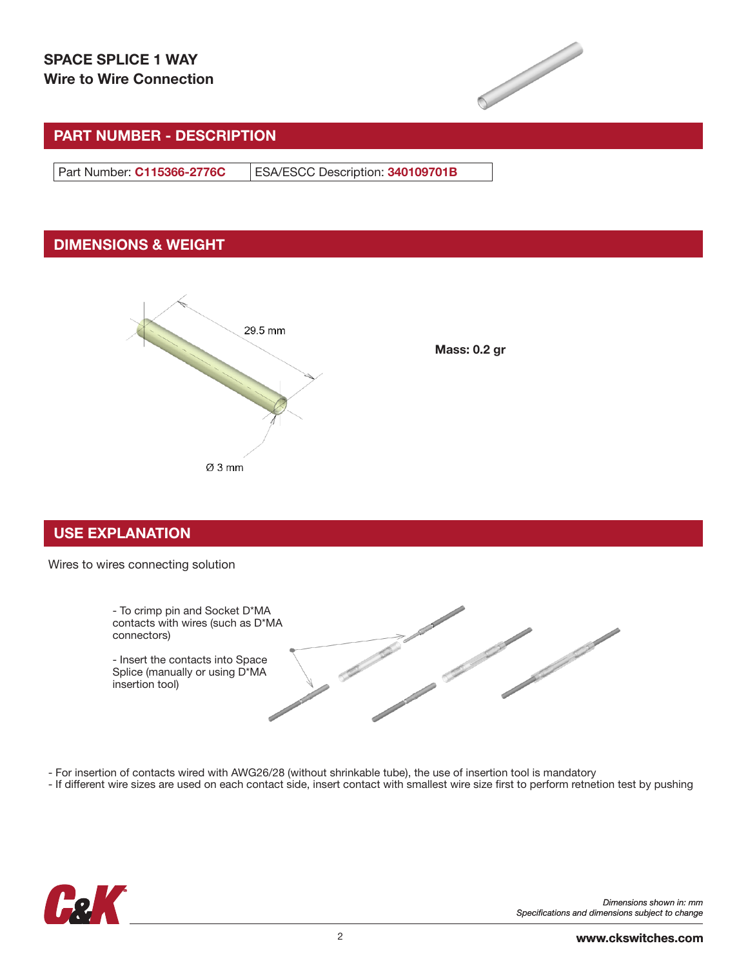

# PART NUMBER - DESCRIPTION

Part Number: C115366-2776C | ESA/ESCC Description: 340109701B

# DIMENSIONS & WEIGHT



Mass: 0.2 gr

### USE EXPLANATION

#### Wires to wires connecting solution



- For insertion of contacts wired with AWG26/28 (without shrinkable tube), the use of insertion tool is mandatory

- If different wire sizes are used on each contact side, insert contact with smallest wire size first to perform retnetion test by pushing

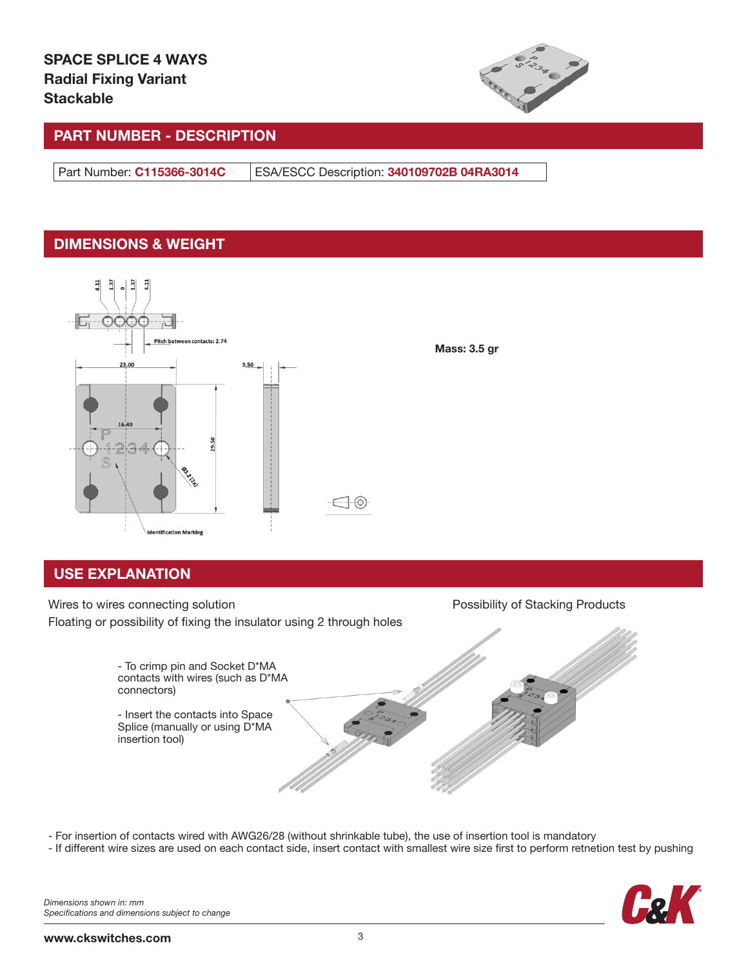

Mass: 3.5 gr

# PART NUMBER - DESCRIPTION

Part Number: C115366-3014C ESA/ESCC Description: 340109702B 04RA3014

# DIMENSIONS & WEIGHT



# USE EXPLANATION

Wires to wires connecting solution **Possibility of Stacking Products** Possibility of Stacking Products Floating or possibility of fixing the insulator using 2 through holes



- For insertion of contacts wired with AWG26/28 (without shrinkable tube), the use of insertion tool is mandatory

- If different wire sizes are used on each contact side, insert contact with smallest wire size first to perform retnetion test by pushing

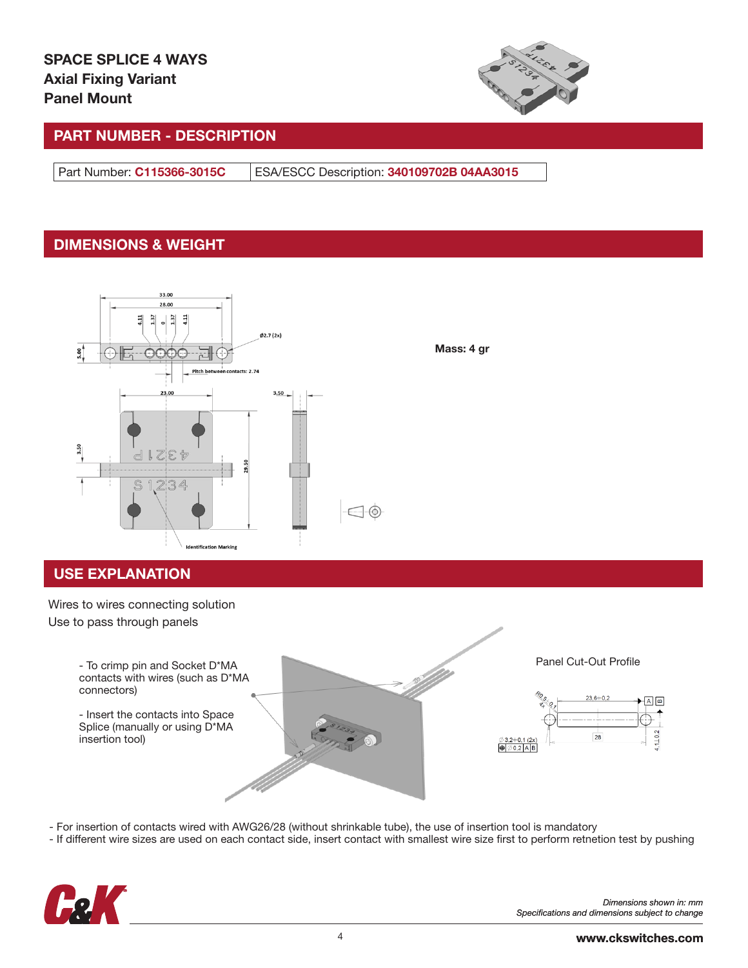

Mass: 4 gr

# PART NUMBER - DESCRIPTION

Part Number: C115366-3015C ESA/ESCC Description: 340109702B 04AA3015

# DIMENSIONS & WEIGHT



# USE EXPLANATION

Wires to wires connecting solution Use to pass through panels Panel Cut-Out Profile - To crimp pin and Socket D\*MA contacts with wires (such as D\*MA connectors)  $23,6 + 0,2$  $A^{\alpha}$ - Insert the contacts into Space Splice (manually or using D\*MA 28 insertion tool) $3,2+0,1$  (2x)  $\bigoplus$   $\emptyset$  0,2 A B

- For insertion of contacts wired with AWG26/28 (without shrinkable tube), the use of insertion tool is mandatory

- If different wire sizes are used on each contact side, insert contact with smallest wire size first to perform retnetion test by pushing



*Dimensions shown in: mm Specifications and dimensions subject to change*

 $110.2$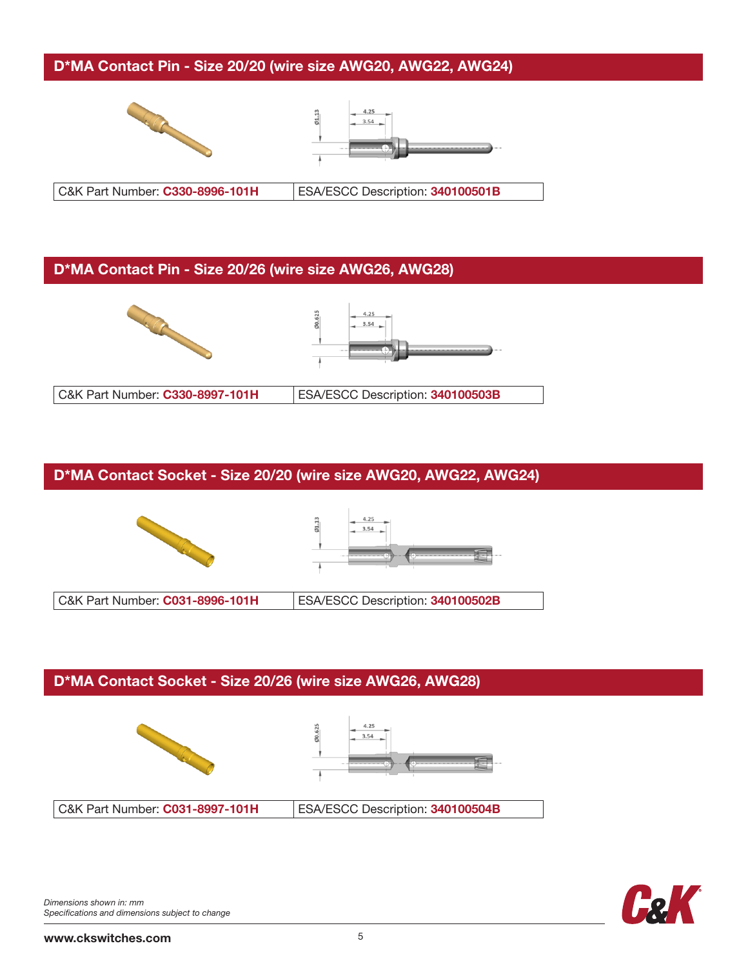### D\*MA Contact Pin - Size 20/20 (wire size AWG20, AWG22, AWG24)





C&K Part Number: C330-8996-101H ESA/ESCC Description: 340100501B

### D\*MA Contact Pin - Size 20/26 (wire size AWG26, AWG28)



# D\*MA Contact Socket - Size 20/20 (wire size AWG20, AWG22, AWG24)





C&K Part Number: C031-8996-101H ESA/ESCC Description: 340100502B

### D\*MA Contact Socket - Size 20/26 (wire size AWG26, AWG28)





C&K Part Number: C031-8997-101H ESA/ESCC Description: 340100504B